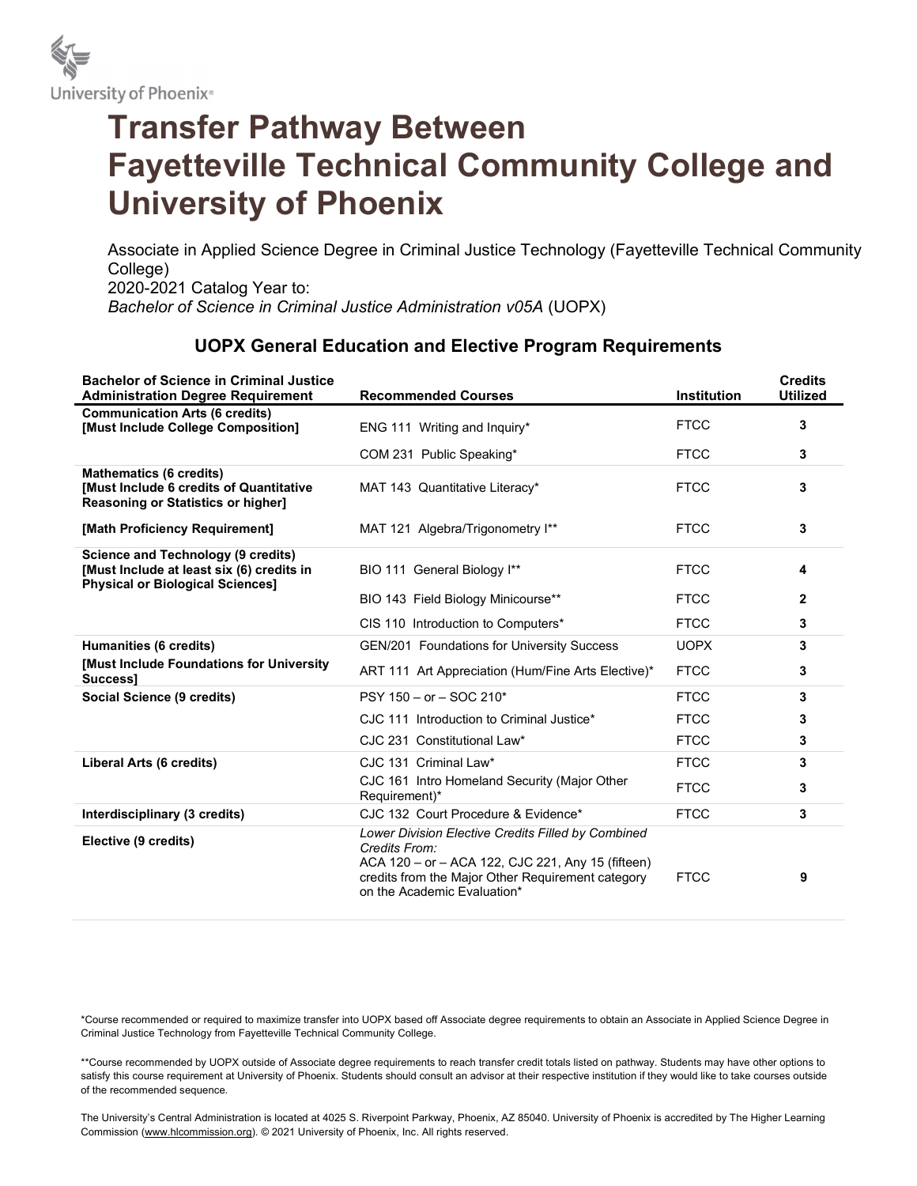

# Transfer Pathway Between Fayetteville Technical Community College and University of Phoenix

Associate in Applied Science Degree in Criminal Justice Technology (Fayetteville Technical Community College) 2020-2021 Catalog Year to: Bachelor of Science in Criminal Justice Administration v05A (UOPX)

### UOPX General Education and Elective Program Requirements

| <b>Bachelor of Science in Criminal Justice</b><br><b>Administration Degree Requirement</b>                                        | <b>Recommended Courses</b>                                                                                                                                                                                   | <b>Institution</b> | <b>Credits</b><br><b>Utilized</b> |
|-----------------------------------------------------------------------------------------------------------------------------------|--------------------------------------------------------------------------------------------------------------------------------------------------------------------------------------------------------------|--------------------|-----------------------------------|
| <b>Communication Arts (6 credits)</b><br>[Must Include College Composition]                                                       | ENG 111 Writing and Inquiry*                                                                                                                                                                                 | <b>FTCC</b>        | 3                                 |
|                                                                                                                                   | COM 231 Public Speaking*                                                                                                                                                                                     | <b>FTCC</b>        | 3                                 |
| <b>Mathematics (6 credits)</b><br><b>[Must Include 6 credits of Quantitative</b><br><b>Reasoning or Statistics or higher]</b>     | MAT 143 Quantitative Literacy*                                                                                                                                                                               | <b>FTCC</b>        | 3                                 |
| [Math Proficiency Requirement]                                                                                                    | MAT 121 Algebra/Trigonometry I**                                                                                                                                                                             | <b>FTCC</b>        | 3                                 |
| <b>Science and Technology (9 credits)</b><br>[Must Include at least six (6) credits in<br><b>Physical or Biological Sciences1</b> | BIO 111 General Biology I**                                                                                                                                                                                  | <b>FTCC</b>        | 4                                 |
|                                                                                                                                   | BIO 143 Field Biology Minicourse**                                                                                                                                                                           | <b>FTCC</b>        | 2                                 |
|                                                                                                                                   | CIS 110 Introduction to Computers*                                                                                                                                                                           | <b>FTCC</b>        | 3                                 |
| Humanities (6 credits)                                                                                                            | <b>GEN/201 Foundations for University Success</b>                                                                                                                                                            | <b>UOPX</b>        | 3                                 |
| [Must Include Foundations for University<br>Success1                                                                              | ART 111 Art Appreciation (Hum/Fine Arts Elective)*                                                                                                                                                           | <b>FTCC</b>        | 3                                 |
| Social Science (9 credits)                                                                                                        | $PSY 150 - or - SOC 210*$                                                                                                                                                                                    | <b>FTCC</b>        | 3                                 |
|                                                                                                                                   | CJC 111 Introduction to Criminal Justice*                                                                                                                                                                    | <b>FTCC</b>        | 3                                 |
|                                                                                                                                   | CJC 231 Constitutional Law*                                                                                                                                                                                  | <b>FTCC</b>        | 3                                 |
| Liberal Arts (6 credits)                                                                                                          | CJC 131 Criminal Law*                                                                                                                                                                                        | <b>FTCC</b>        | 3                                 |
|                                                                                                                                   | CJC 161 Intro Homeland Security (Major Other<br>Requirement)*                                                                                                                                                | <b>FTCC</b>        | 3                                 |
| Interdisciplinary (3 credits)                                                                                                     | CJC 132 Court Procedure & Evidence*                                                                                                                                                                          | <b>FTCC</b>        | 3                                 |
| Elective (9 credits)                                                                                                              | Lower Division Elective Credits Filled by Combined<br>Credits From:<br>ACA 120 - or - ACA 122, CJC 221, Any 15 (fifteen)<br>credits from the Major Other Requirement category<br>on the Academic Evaluation* | <b>FTCC</b>        | 9                                 |

\*Course recommended or required to maximize transfer into UOPX based off Associate degree requirements to obtain an Associate in Applied Science Degree in Criminal Justice Technology from Fayetteville Technical Community College.

\*\*Course recommended by UOPX outside of Associate degree requirements to reach transfer credit totals listed on pathway. Students may have other options to satisfy this course requirement at University of Phoenix. Students should consult an advisor at their respective institution if they would like to take courses outside of the recommended sequence.

The University's Central Administration is located at 4025 S. Riverpoint Parkway, Phoenix, AZ 85040. University of Phoenix is accredited by The Higher Learning Commission (www.hlcommission.org). © 2021 University of Phoenix, Inc. All rights reserved.